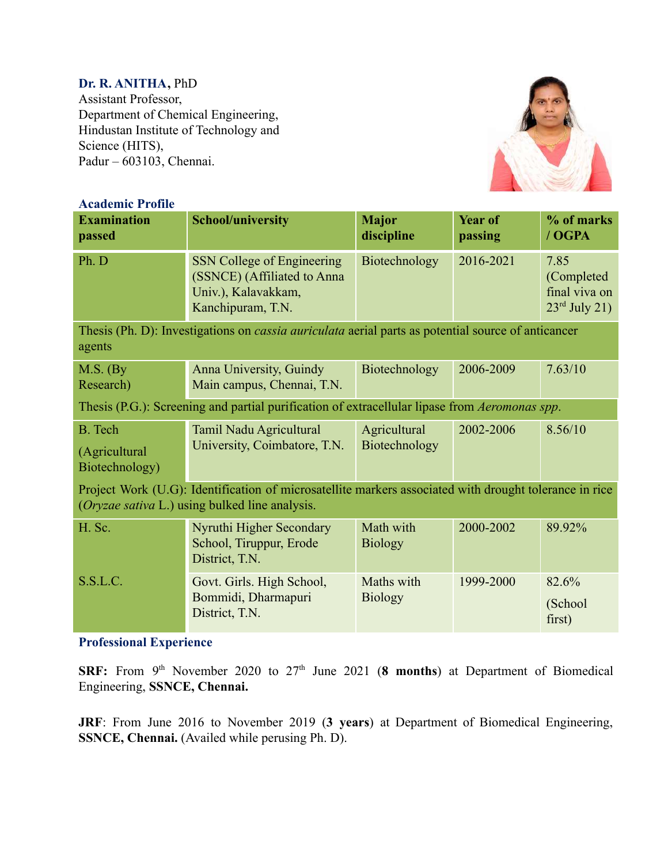# **Dr. R. ANITHA,** PhD

Assistant Professor, Department of Chemical Engineering, Hindustan Institute of Technology and Science (HITS), Padur – 603103, Chennai.



### **Academic Profile**

| <b>Examination</b><br>passed                                                                                                                             | <b>School/university</b>                                                                                     | <b>Major</b><br>discipline    | <b>Year of</b><br>passing | % of marks<br>/ OGPA                                             |
|----------------------------------------------------------------------------------------------------------------------------------------------------------|--------------------------------------------------------------------------------------------------------------|-------------------------------|---------------------------|------------------------------------------------------------------|
| Ph. D                                                                                                                                                    | <b>SSN College of Engineering</b><br>(SSNCE) (Affiliated to Anna<br>Univ.), Kalavakkam,<br>Kanchipuram, T.N. | Biotechnology                 | 2016-2021                 | 7.85<br>(Completed<br>final viva on<br>$23^{\text{rd}}$ July 21) |
| Thesis (Ph. D): Investigations on <i>cassia auriculata</i> aerial parts as potential source of anticancer<br>agents                                      |                                                                                                              |                               |                           |                                                                  |
| $M.S.$ (By<br>Research)                                                                                                                                  | Anna University, Guindy<br>Main campus, Chennai, T.N.                                                        | Biotechnology                 | 2006-2009                 | 7.63/10                                                          |
| Thesis (P.G.): Screening and partial purification of extracellular lipase from Aeromonas spp.                                                            |                                                                                                              |                               |                           |                                                                  |
| <b>B.</b> Tech<br>(Agricultural<br>Biotechnology)                                                                                                        | Tamil Nadu Agricultural<br>University, Coimbatore, T.N.                                                      | Agricultural<br>Biotechnology | 2002-2006                 | 8.56/10                                                          |
| Project Work (U.G): Identification of microsatellite markers associated with drought tolerance in rice<br>(Oryzae sativa L.) using bulked line analysis. |                                                                                                              |                               |                           |                                                                  |
| H. Sc.                                                                                                                                                   | Nyruthi Higher Secondary<br>School, Tiruppur, Erode<br>District, T.N.                                        | Math with<br><b>Biology</b>   | 2000-2002                 | 89.92%                                                           |
| S.S.L.C.                                                                                                                                                 | Govt. Girls. High School,<br>Bommidi, Dharmapuri<br>District, T.N.                                           | Maths with<br><b>Biology</b>  | 1999-2000                 | 82.6%<br>(School<br>first)                                       |

## **Professional Experience**

**SRF:** From  $9<sup>th</sup>$  November 2020 to  $27<sup>th</sup>$  June 2021 (8 **months**) at Department of Biomedical Engineering, **SSNCE, Chennai.**

**JRF**: From June 2016 to November 2019 (**3 years**) at Department of Biomedical Engineering, **SSNCE, Chennai.** (Availed while perusing Ph. D).